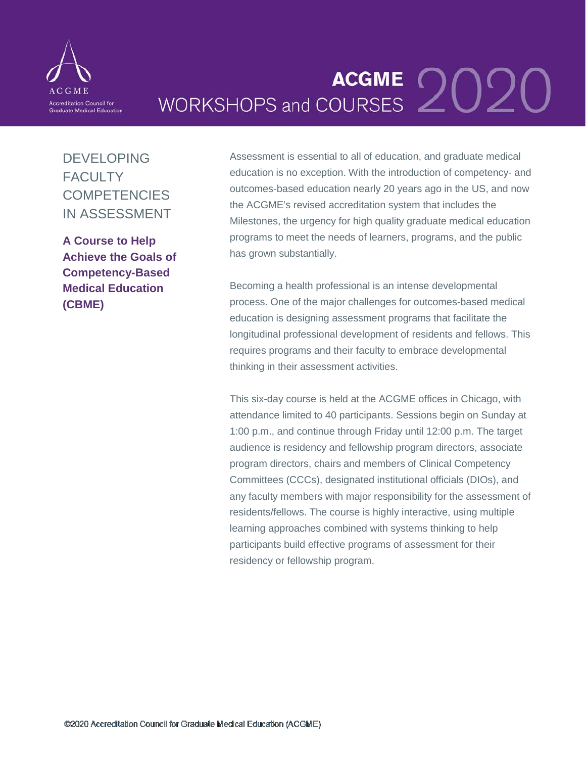

# **ACGME 2020**<br>WORKSHOPS and COURSES 2020

DEVELOPING FACULTY **COMPETENCIES** IN ASSESSMENT

**A Course to Help Achieve the Goals of Competency-Based Medical Education (CBME)**

Assessment is essential to all of education, and graduate medical education is no exception. With the introduction of competency- and outcomes-based education nearly 20 years ago in the US, and now the ACGME's revised accreditation system that includes the Milestones, the urgency for high quality graduate medical education programs to meet the needs of learners, programs, and the public has grown substantially.

Becoming a health professional is an intense developmental process. One of the major challenges for outcomes-based medical education is designing assessment programs that facilitate the longitudinal professional development of residents and fellows. This requires programs and their faculty to embrace developmental thinking in their assessment activities.

This six-day course is held at the ACGME offices in Chicago, with attendance limited to 40 participants. Sessions begin on Sunday at 1:00 p.m., and continue through Friday until 12:00 p.m. The target audience is residency and fellowship program directors, associate program directors, chairs and members of Clinical Competency Committees (CCCs), designated institutional officials (DIOs), and any faculty members with major responsibility for the assessment of residents/fellows. The course is highly interactive, using multiple learning approaches combined with systems thinking to help participants build effective programs of assessment for their residency or fellowship program.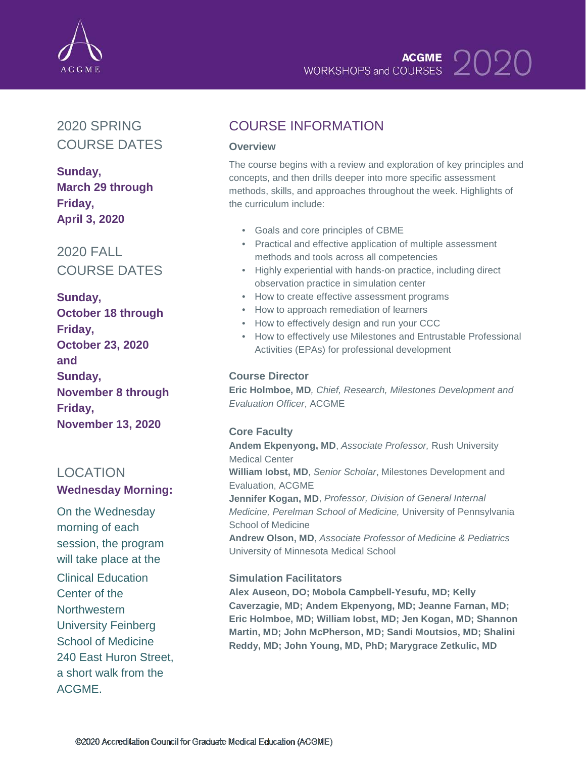# WORKSHOPS and COURSES 2020

# 2020 SPRING COURSE DATES

**Sunday, March 29 through Friday, April 3, 2020**

# 2020 FALL COURSE DATES

**Sunday, October 18 through Friday, October 23, 2020 and Sunday, November 8 through Friday, November 13, 2020**

# LOCATION

#### **Wednesday Morning:**

On the Wednesday morning of each session, the program will take place at the Clinical Education Center of the **Northwestern** University Feinberg School of Medicine 240 East Huron Street, a short walk from the ACGME.

### COURSE INFORMATION

#### **Overview**

The course begins with a review and exploration of key principles and concepts, and then drills deeper into more specific assessment methods, skills, and approaches throughout the week. Highlights of the curriculum include:

- Goals and core principles of CBME
- Practical and effective application of multiple assessment methods and tools across all competencies
- Highly experiential with hands-on practice, including direct observation practice in simulation center
- How to create effective assessment programs
- How to approach remediation of learners
- How to effectively design and run your CCC
- How to effectively use Milestones and Entrustable Professional Activities (EPAs) for professional development

#### **Course Director**

**Eric Holmboe, MD***, Chief, Research, Milestones Development and Evaluation Officer*, ACGME

#### **Core Faculty**

**Andem Ekpenyong, MD**, *Associate Professor,* Rush University Medical Center **William Iobst, MD**, *Senior Scholar*, Milestones Development and Evaluation, ACGME **Jennifer Kogan, MD**, *Professor, Division of General Internal Medicine, Perelman School of Medicine,* University of Pennsylvania School of Medicine **Andrew Olson, MD**, *Associate Professor of Medicine & Pediatrics* University of Minnesota Medical School

#### **Simulation Facilitators**

**Alex Auseon, DO; Mobola Campbell-Yesufu, MD; Kelly Caverzagie, MD; Andem Ekpenyong, MD; Jeanne Farnan, MD; Eric Holmboe, MD; William Iobst, MD; Jen Kogan, MD; Shannon Martin, MD; John McPherson, MD; Sandi Moutsios, MD; Shalini Reddy, MD; John Young, MD, PhD; Marygrace Zetkulic, MD**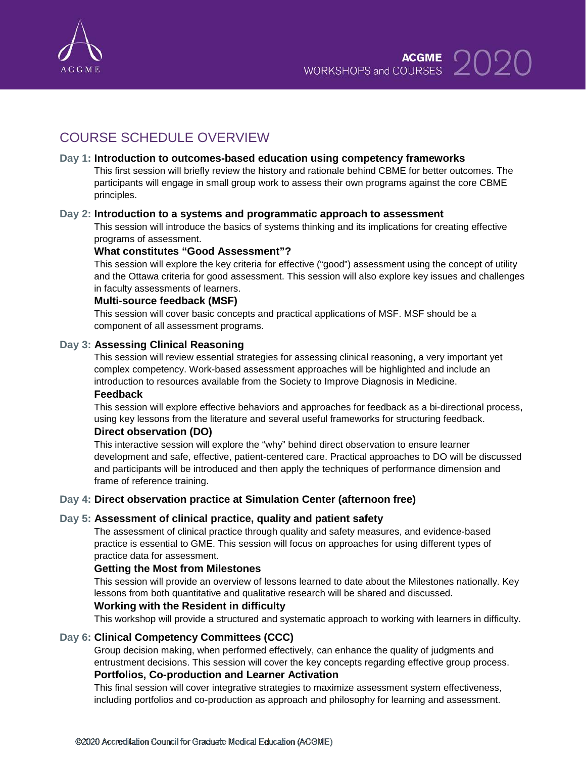

# COURSE SCHEDULE OVERVIEW

#### **Day 1: Introduction to outcomes-based education using competency frameworks**

This first session will briefly review the history and rationale behind CBME for better outcomes. The participants will engage in small group work to assess their own programs against the core CBME principles.

#### **Day 2: Introduction to a systems and programmatic approach to assessment**

This session will introduce the basics of systems thinking and its implications for creating effective programs of assessment.

#### **What constitutes "Good Assessment"?**

This session will explore the key criteria for effective ("good") assessment using the concept of utility and the Ottawa criteria for good assessment. This session will also explore key issues and challenges in faculty assessments of learners.

#### **Multi-source feedback (MSF)**

This session will cover basic concepts and practical applications of MSF. MSF should be a component of all assessment programs.

#### **Day 3: Assessing Clinical Reasoning**

This session will review essential strategies for assessing clinical reasoning, a very important yet complex competency. Work-based assessment approaches will be highlighted and include an introduction to resources available from the Society to Improve Diagnosis in Medicine.

#### **Feedback**

This session will explore effective behaviors and approaches for feedback as a bi-directional process, using key lessons from the literature and several useful frameworks for structuring feedback.

#### **Direct observation (DO)**

This interactive session will explore the "why" behind direct observation to ensure learner development and safe, effective, patient-centered care. Practical approaches to DO will be discussed and participants will be introduced and then apply the techniques of performance dimension and frame of reference training.

#### **Day 4: Direct observation practice at Simulation Center (afternoon free)**

#### **Day 5: Assessment of clinical practice, quality and patient safety**

The assessment of clinical practice through quality and safety measures, and evidence-based practice is essential to GME. This session will focus on approaches for using different types of practice data for assessment.

#### **Getting the Most from Milestones**

This session will provide an overview of lessons learned to date about the Milestones nationally. Key lessons from both quantitative and qualitative research will be shared and discussed.

#### **Working with the Resident in difficulty**

This workshop will provide a structured and systematic approach to working with learners in difficulty.

#### **Day 6: Clinical Competency Committees (CCC)**

Group decision making, when performed effectively, can enhance the quality of judgments and entrustment decisions. This session will cover the key concepts regarding effective group process. **Portfolios, Co-production and Learner Activation**

This final session will cover integrative strategies to maximize assessment system effectiveness, including portfolios and co-production as approach and philosophy for learning and assessment.